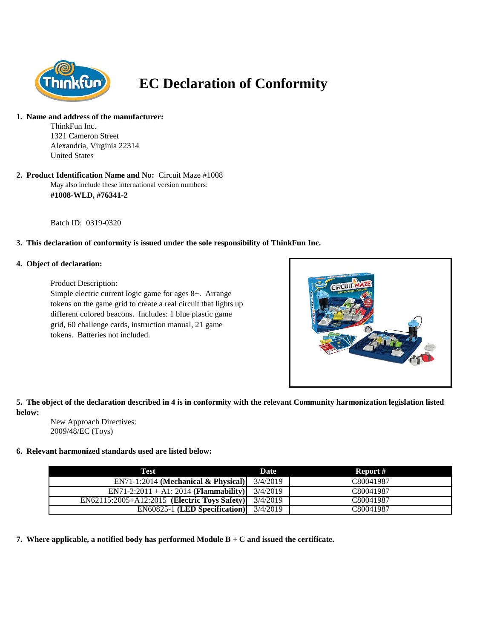

# **EC Declaration of Conformity**

#### **1. Name and address of the manufacturer:**

ThinkFun Inc. 1321 Cameron Street Alexandria, Virginia 22314 United States

May also include these international version numbers: **2. Product Identification Name and No:** Circuit Maze #1008 **#1008-WLD, #76341-2**

Batch ID: 0319-0320

## **3. This declaration of conformity is issued under the sole responsibility of ThinkFun Inc.**

### **4. Object of declaration:**

Product Description:

Simple electric current logic game for ages 8+. Arrange tokens on the game grid to create a real circuit that lights up different colored beacons. Includes: 1 blue plastic game grid, 60 challenge cards, instruction manual, 21 game tokens. Batteries not included.



**5. The object of the declaration described in 4 is in conformity with the relevant Community harmonization legislation listed below:**

New Approach Directives: 2009/48/EC (Toys)

#### **6. Relevant harmonized standards used are listed below:**

| Test                                                        | Date     | Report #  |
|-------------------------------------------------------------|----------|-----------|
| $EN71-1:2014$ (Mechanical & Physical)                       | 3/4/2019 | C80041987 |
| $EN71-2:2011 + A1:2014$ ( <b>Flammability</b> )             | 3/4/2019 | C80041987 |
| $\overline{EN62115:2005} + A12:2015$ (Electric Toys Safety) | 3/4/2019 | C80041987 |
| $EN60825-1$ (LED Specification)                             | 3/4/2019 | C80041987 |

**7. Where applicable, a notified body has performed Module B + C and issued the certificate.**